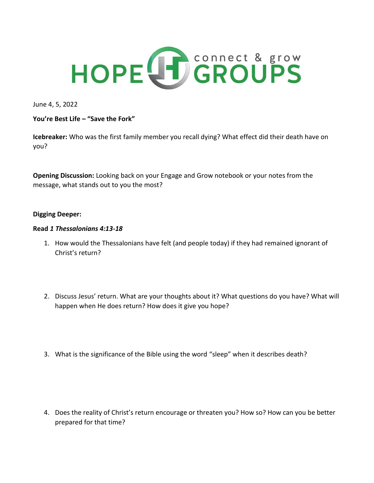

June 4, 5, 2022

**You're Best Life – "Save the Fork"**

**Icebreaker:** Who was the first family member you recall dying? What effect did their death have on you?

**Opening Discussion:** Looking back on your Engage and Grow notebook or your notes from the message, what stands out to you the most?

## **Digging Deeper:**

## **Read** *1 Thessalonians 4:13-18*

- 1. How would the Thessalonians have felt (and people today) if they had remained ignorant of Christ's return?
- 2. Discuss Jesus' return. What are your thoughts about it? What questions do you have? What will happen when He does return? How does it give you hope?
- 3. What is the significance of the Bible using the word "sleep" when it describes death?

4. Does the reality of Christ's return encourage or threaten you? How so? How can you be better prepared for that time?